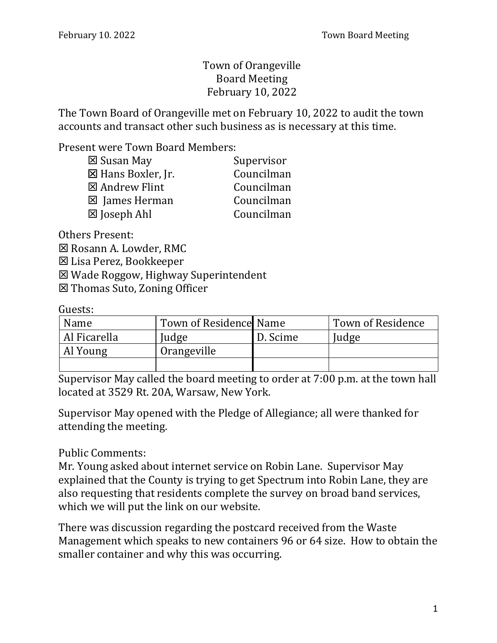## Town of Orangeville Board Meeting February 10, 2022

The Town Board of Orangeville met on February 10, 2022 to audit the town accounts and transact other such business as is necessary at this time.

Present were Town Board Members:

| ⊠ Susan May           | Supervisor |
|-----------------------|------------|
| ⊠ Hans Boxler, Jr.    | Councilman |
| ⊠ Andrew Flint        | Councilman |
| <b>⊠</b> James Herman | Councilman |
| ⊠ Joseph Ahl          | Councilman |
|                       |            |

Others Present: Rosann A. Lowder, RMC Lisa Perez, Bookkeeper Wade Roggow, Highway Superintendent Thomas Suto, Zoning Officer

Guests:

| Name         | Town of Residence Name |          | Town of Residence |
|--------------|------------------------|----------|-------------------|
| Al Ficarella | Judge                  | D. Scime | Judge             |
| Al Young     | Orangeville            |          |                   |
|              |                        |          |                   |

Supervisor May called the board meeting to order at 7:00 p.m. at the town hall located at 3529 Rt. 20A, Warsaw, New York.

Supervisor May opened with the Pledge of Allegiance; all were thanked for attending the meeting.

Public Comments:

Mr. Young asked about internet service on Robin Lane. Supervisor May explained that the County is trying to get Spectrum into Robin Lane, they are also requesting that residents complete the survey on broad band services, which we will put the link on our website.

There was discussion regarding the postcard received from the Waste Management which speaks to new containers 96 or 64 size. How to obtain the smaller container and why this was occurring.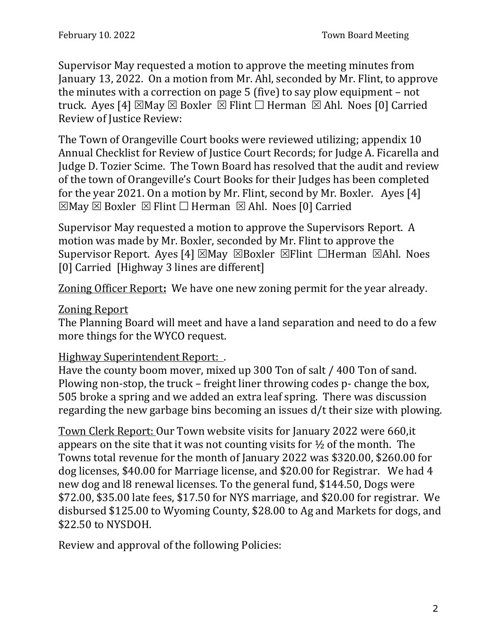Supervisor May requested a motion to approve the meeting minutes from January 13, 2022. On a motion from Mr. Ahl, seconded by Mr. Flint, to approve the minutes with a correction on page 5 (five) to say plow equipment – not truck. Ayes [4]  $\boxtimes$  May  $\boxtimes$  Boxler  $\boxtimes$  Flint  $\Box$  Herman  $\boxtimes$  Ahl. Noes [0] Carried Review of Justice Review:

The Town of Orangeville Court books were reviewed utilizing; appendix 10 Annual Checklist for Review of Justice Court Records; for Judge A. Ficarella and Judge D. Tozier Scime. The Town Board has resolved that the audit and review of the town of Orangeville's Court Books for their Judges has been completed for the year 2021. On a motion by Mr. Flint, second by Mr. Boxler. Ayes [4]  $\boxtimes$ May  $\boxtimes$  Boxler  $\boxtimes$  Flint  $\Box$  Herman  $\boxtimes$  Ahl. Noes [0] Carried

Supervisor May requested a motion to approve the Supervisors Report. A motion was made by Mr. Boxler, seconded by Mr. Flint to approve the Supervisor Report. Ayes [4]  $\boxtimes$  May  $\boxtimes$  Boxler  $\boxtimes$  Flint  $\Box$  Herman  $\boxtimes$  Ahl. Noes [0] Carried [Highway 3 lines are different]

Zoning Officer Report**:** We have one new zoning permit for the year already.

## Zoning Report

The Planning Board will meet and have a land separation and need to do a few more things for the WYCO request.

## Highway Superintendent Report: .

Have the county boom mover, mixed up 300 Ton of salt / 400 Ton of sand. Plowing non-stop, the truck – freight liner throwing codes p- change the box, 505 broke a spring and we added an extra leaf spring. There was discussion regarding the new garbage bins becoming an issues d/t their size with plowing.

Town Clerk Report: Our Town website visits for January 2022 were 660,it appears on the site that it was not counting visits for  $\frac{1}{2}$  of the month. The Towns total revenue for the month of January 2022 was \$320.00, \$260.00 for dog licenses, \$40.00 for Marriage license, and \$20.00 for Registrar. We had 4 new dog and l8 renewal licenses. To the general fund, \$144.50, Dogs were \$72.00, \$35.00 late fees, \$17.50 for NYS marriage, and \$20.00 for registrar. We disbursed \$125.00 to Wyoming County, \$28.00 to Ag and Markets for dogs, and \$22.50 to NYSDOH.

Review and approval of the following Policies: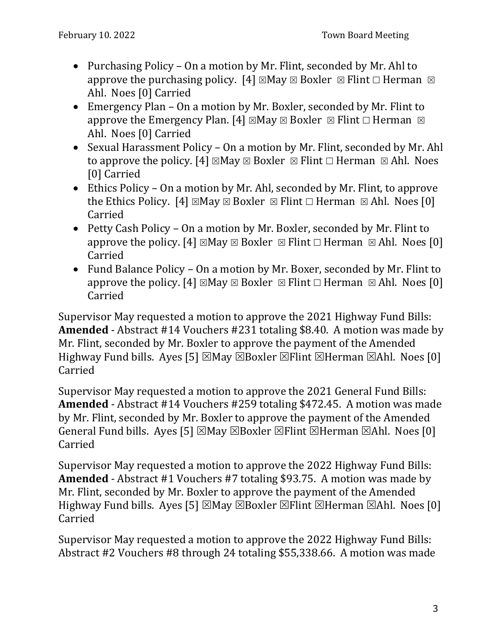- Purchasing Policy On a motion by Mr. Flint, seconded by Mr. Ahl to approve the purchasing policy. [4]  $\boxtimes$  May  $\boxtimes$  Boxler  $\boxtimes$  Flint  $\Box$  Herman  $\boxtimes$ Ahl. Noes [0] Carried
- Emergency Plan On a motion by Mr. Boxler, seconded by Mr. Flint to approve the Emergency Plan. [4]  $\boxtimes$  May  $\boxtimes$  Boxler  $\boxtimes$  Flint  $\Box$  Herman  $\boxtimes$ Ahl. Noes [0] Carried
- Sexual Harassment Policy On a motion by Mr. Flint, seconded by Mr. Ahl to approve the policy. [4]  $\boxtimes$  May  $\boxtimes$  Boxler  $\boxtimes$  Flint  $\Box$  Herman  $\boxtimes$  Ahl. Noes [0] Carried
- Ethics Policy On a motion by Mr. Ahl, seconded by Mr. Flint, to approve the Ethics Policy. [4]  $\boxtimes$  May  $\boxtimes$  Boxler  $\boxtimes$  Flint  $\Box$  Herman  $\boxtimes$  Ahl. Noes [0] Carried
- Petty Cash Policy On a motion by Mr. Boxler, seconded by Mr. Flint to approve the policy. [4]  $\boxtimes$  May  $\boxtimes$  Boxler  $\boxtimes$  Flint  $\Box$  Herman  $\boxtimes$  Ahl. Noes [0] Carried
- Fund Balance Policy On a motion by Mr. Boxer, seconded by Mr. Flint to approve the policy. [4]  $\boxtimes$  May  $\boxtimes$  Boxler  $\boxtimes$  Flint  $\Box$  Herman  $\boxtimes$  Ahl. Noes [0] Carried

Supervisor May requested a motion to approve the 2021 Highway Fund Bills: **Amended** - Abstract #14 Vouchers #231 totaling \$8.40. A motion was made by Mr. Flint, seconded by Mr. Boxler to approve the payment of the Amended Highway Fund bills. Ayes [5]  $\boxtimes$  May  $\boxtimes$  Boxler  $\boxtimes$  Flint  $\boxtimes$  Herman  $\boxtimes$  Ahl. Noes [0] Carried

Supervisor May requested a motion to approve the 2021 General Fund Bills: **Amended** - Abstract #14 Vouchers #259 totaling \$472.45. A motion was made by Mr. Flint, seconded by Mr. Boxler to approve the payment of the Amended General Fund bills. Ayes [5]  $\boxtimes$ May  $\boxtimes$ Boxler  $\boxtimes$ Flint  $\boxtimes$ Herman  $\boxtimes$ Ahl. Noes [0] Carried

Supervisor May requested a motion to approve the 2022 Highway Fund Bills: **Amended** - Abstract #1 Vouchers #7 totaling \$93.75. A motion was made by Mr. Flint, seconded by Mr. Boxler to approve the payment of the Amended Highway Fund bills. Ayes [5]  $\boxtimes$  May  $\boxtimes$  Boxler  $\boxtimes$  Flint  $\boxtimes$  Herman  $\boxtimes$  Ahl. Noes [0] Carried

Supervisor May requested a motion to approve the 2022 Highway Fund Bills: Abstract #2 Vouchers #8 through 24 totaling \$55,338.66. A motion was made